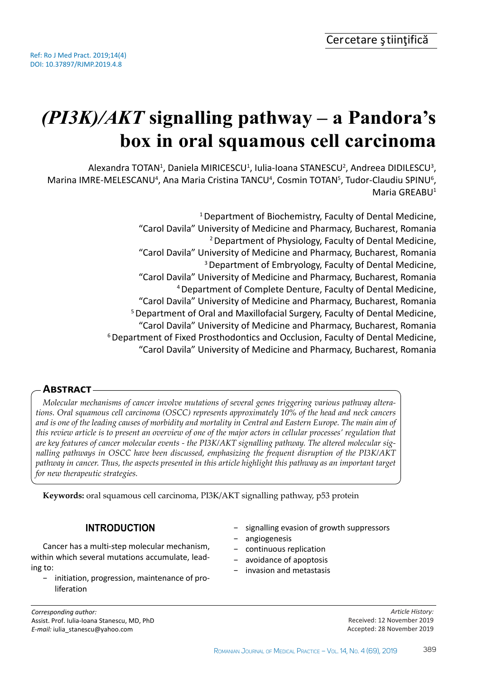# *(PI3K)/AKT* **signalling pathway – a Pandora's box in oral squamous cell carcinoma**

Alexandra TOTAN<sup>1</sup>, Daniela MIRICESCU<sup>1</sup>, Iulia-Ioana STANESCU<sup>2</sup>, Andreea DIDILESCU<sup>3</sup>, Marina IMRE-MELESCANU<sup>4</sup>, Ana Maria Cristina TANCU<sup>4</sup>, Cosmin TOTAN<sup>5</sup>, Tudor-Claudiu SPINU<sup>6</sup>, Maria GRFABU<sup>1</sup>

> <sup>1</sup> Department of Biochemistry, Faculty of Dental Medicine, "Carol Davila" University of Medicine and Pharmacy, Bucharest, Romania 2 Department of Physiology, Faculty of Dental Medicine, "Carol Davila" University of Medicine and Pharmacy, Bucharest, Romania 3 Department of Embryology, Faculty of Dental Medicine, "Carol Davila" University of Medicine and Pharmacy, Bucharest, Romania 4 Department of Complete Denture, Faculty of Dental Medicine, "Carol Davila" University of Medicine and Pharmacy, Bucharest, Romania 5 Department of Oral and Maxillofacial Surgery, Faculty of Dental Medicine, "Carol Davila" University of Medicine and Pharmacy, Bucharest, Romania 6 Department of Fixed Prosthodontics and Occlusion, Faculty of Dental Medicine, "Carol Davila" University of Medicine and Pharmacy, Bucharest, Romania

# **Abstract**

*Molecular mechanisms of cancer involve mutations of several genes triggering various pathway alterations. Oral squamous cell carcinoma (OSCC) represents approximately 10% of the head and neck cancers and is one of the leading causes of morbidity and mortality in Central and Eastern Europe. The main aim of this review article is to present an overview of one of the major actors in cellular processes' regulation that are key features of cancer molecular events - the PI3K/AKT signalling pathway. The altered molecular signalling pathways in OSCC have been discussed, emphasizing the frequent disruption of the PI3K/AKT pathway in cancer. Thus, the aspects presented in this article highlight this pathway as an important target for new therapeutic strategies.*

**Keywords:** oral squamous cell carcinoma, PI3K/AKT signalling pathway, p53 protein

# **INTRODUCTION**

Cancer has a multi-step molecular mechanism, within which several mutations accumulate, leading to:

- − initiation, progression, maintenance of proliferation
- signalling evasion of growth suppressors
- − angiogenesis
- − continuous replication
- − avoidance of apoptosis
- − invasion and metastasis

*Article History:* Received: 12 November 2019 Accepted: 28 November 2019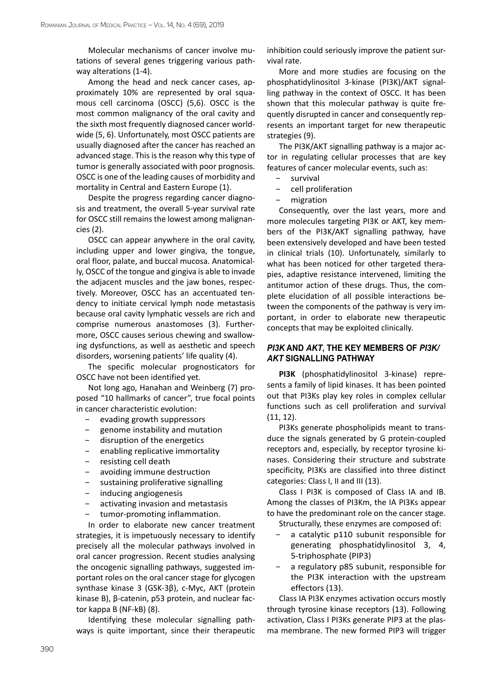Molecular mechanisms of cancer involve mutations of several genes triggering various pathway alterations (1-4).

Among the head and neck cancer cases, approximately 10% are represented by oral squamous cell carcinoma (OSCC) (5,6). OSCC is the most common malignancy of the oral cavity and the sixth most frequently diagnosed cancer worldwide (5, 6). Unfortunately, most OSCC patients are usually diagnosed after the cancer has reached an advanced stage. This is the reason why this type of tumor is generally associated with poor prognosis. OSCC is one of the leading causes of morbidity and mortality in Central and Eastern Europe (1).

Despite the progress regarding cancer diagnosis and treatment, the overall 5-year survival rate for OSCC still remains the lowest among malignancies (2).

OSCC can appear anywhere in the oral cavity, including upper and lower gingiva, the tongue, oral floor, palate, and buccal mucosa. Anatomically, OSCC of the tongue and gingiva is able to invade the adjacent muscles and the jaw bones, respectively. Moreover, OSCC has an accentuated tendency to initiate cervical lymph node metastasis because oral cavity lymphatic vessels are rich and comprise numerous anastomoses (3). Furthermore, OSCC causes serious chewing and swallowing dysfunctions, as well as aesthetic and speech disorders, worsening patients' life quality (4).

The specific molecular prognosticators for OSCC have not been identified yet.

Not long ago, Hanahan and Weinberg (7) proposed "10 hallmarks of cancer", true focal points in cancer characteristic evolution:

- − evading growth suppressors
- − genome instability and mutation
- − disruption of the energetics
- − enabling replicative immortality
- − resisting cell death
- − avoiding immune destruction
- − sustaining proliferative signalling
- − inducing angiogenesis
- − activating invasion and metastasis
- tumor-promoting inflammation.

In order to elaborate new cancer treatment strategies, it is impetuously necessary to identify precisely all the molecular pathways involved in oral cancer progression. Recent studies analysing the oncogenic signalling pathways, suggested important roles on the oral cancer stage for glycogen synthase kinase 3 (GSK-3β), c-Myc, AKT (protein kinase B), β-catenin, p53 protein, and nuclear factor kappa B (NF-kB) (8).

Identifying these molecular signalling pathways is quite important, since their therapeutic inhibition could seriously improve the patient survival rate.

More and more studies are focusing on the phosphatidylinositol 3-kinase (PI3K)/AKT signalling pathway in the context of OSCC. It has been shown that this molecular pathway is quite frequently disrupted in cancer and consequently represents an important target for new therapeutic strategies (9).

The PI3K/AKT signalling pathway is a major actor in regulating cellular processes that are key features of cancer molecular events, such as:

- survival
- − cell proliferation
- − migration

Consequently, over the last years, more and more molecules targeting PI3K or AKT, key members of the PI3K/AKT signalling pathway, have been extensively developed and have been tested in clinical trials (10). Unfortunately, similarly to what has been noticed for other targeted therapies, adaptive resistance intervened, limiting the antitumor action of these drugs. Thus, the complete elucidation of all possible interactions between the components of the pathway is very important, in order to elaborate new therapeutic concepts that may be exploited clinically.

#### *PI3K* **AND** *AKT***, THE KEY MEMBERS OF** *PI3K/ AKT* **SIGNALLING PATHWAY**

**PI3K** (phosphatidylinositol 3-kinase) represents a family of lipid kinases. It has been pointed out that PI3Ks play key roles in complex cellular functions such as cell proliferation and survival (11, 12).

PI3Ks generate phospholipids meant to transduce the signals generated by G protein-coupled receptors and, especially, by receptor tyrosine kinases. Considering their structure and substrate specificity, PI3Ks are classified into three distinct categories: Class I, II and III (13).

Class I PI3K is composed of Class IA and IB. Among the classes of PI3Km, the IA PI3Ks appear to have the predominant role on the cancer stage.

Structurally, these enzymes are composed of:

- a catalytic p110 subunit responsible for generating phosphatidylinositol 3, 4, 5-triphosphate (PIP3)
- a regulatory p85 subunit, responsible for the PI3K interaction with the upstream effectors (13).

Class IA PI3K enzymes activation occurs mostly through tyrosine kinase receptors (13). Following activation, Class I PI3Ks generate PIP3 at the plasma membrane. The new formed PIP3 will trigger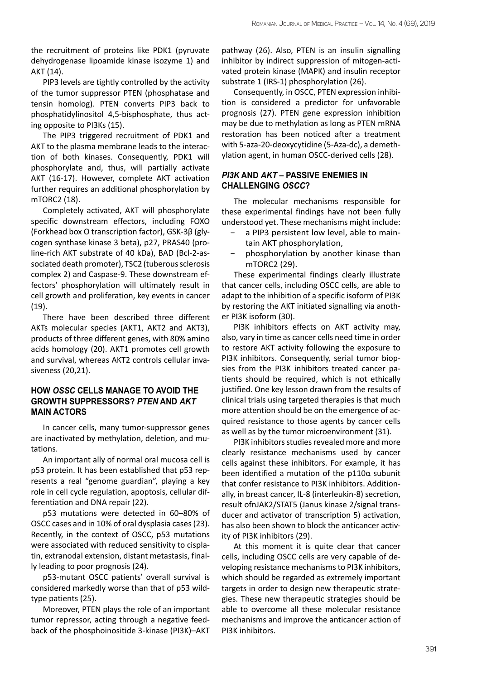the recruitment of proteins like PDK1 (pyruvate dehydrogenase lipoamide kinase isozyme 1) and AKT (14).

PIP3 levels are tightly controlled by the activity of the tumor suppressor PTEN (phosphatase and tensin homolog). PTEN converts PIP3 back to phosphatidylinositol 4,5-bisphosphate, thus acting opposite to PI3Ks (15).

The PIP3 triggered recruitment of PDK1 and AKT to the plasma membrane leads to the interaction of both kinases. Consequently, PDK1 will phosphorylate and, thus, will partially activate AKT (16-17). However, complete AKT activation further requires an additional phosphorylation by mTORC2 (18).

Completely activated, AKT will phosphorylate specific downstream effectors, including FOXO (Forkhead box O transcription factor), GSK-3β (glycogen synthase kinase 3 beta), p27, PRAS40 (proline-rich AKT substrate of 40 kDa), BAD (Bcl-2-associated death promoter), TSC2 (tuberous sclerosis complex 2) and Caspase-9. These downstream effectors' phosphorylation will ultimately result in cell growth and proliferation, key events in cancer (19).

There have been described three different AKTs molecular species (AKT1, AKT2 and AKT3), products of three different genes, with 80% amino acids homology (20). AKT1 promotes cell growth and survival, whereas AKT2 controls cellular invasiveness (20,21).

#### **HOW** *OSSC* **CELLS MANAGE TO AVOID THE GROWTH SUPPRESSORS?** *PTEN* **AND** *AKT* **MAIN ACTORS**

In cancer cells, many tumor-suppressor genes are inactivated by methylation, deletion, and mutations.

An important ally of normal oral mucosa cell is p53 protein. It has been established that p53 represents a real "genome guardian", playing a key role in cell cycle regulation, apoptosis, cellular differentiation and DNA repair (22).

p53 mutations were detected in 60–80% of OSCC cases and in 10% of oral dysplasia cases (23). Recently, in the context of OSCC, p53 mutations were associated with reduced sensitivity to cisplatin, extranodal extension, distant metastasis, finally leading to poor prognosis (24).

p53-mutant OSCC patients' overall survival is considered markedly worse than that of p53 wildtype patients (25).

Moreover, PTEN plays the role of an important tumor repressor, acting through a negative feedback of the phosphoinositide 3-kinase (PI3K)–AKT

pathway (26). Also, PTEN is an insulin signalling inhibitor by indirect suppression of mitogen-activated protein kinase (MAPK) and insulin receptor substrate 1 (IRS-1) phosphorylation (26).

Consequently, in OSCC, PTEN expression inhibition is considered a predictor for unfavorable prognosis (27). PTEN gene expression inhibition may be due to methylation as long as PTEN mRNA restoration has been noticed after a treatment with 5-aza-20-deoxycytidine (5-Aza-dc), a demethylation agent, in human OSCC-derived cells (28).

#### *PI3K* **AND** *AKT* **– PASSIVE ENEMIES IN CHALLENGING** *OSCC***?**

The molecular mechanisms responsible for these experimental findings have not been fully understood yet. These mechanisms might include:

- a PIP3 persistent low level, able to maintain AKT phosphorylation,
- − phosphorylation by another kinase than mTORC2 (29).

These experimental findings clearly illustrate that cancer cells, including OSCC cells, are able to adapt to the inhibition of a specific isoform of PI3K by restoring the AKT initiated signalling via another PI3K isoform (30).

PI3K inhibitors effects on AKT activity may, also, vary in time as cancer cells need time in order to restore AKT activity following the exposure to PI3K inhibitors. Consequently, serial tumor biopsies from the PI3K inhibitors treated cancer patients should be required, which is not ethically justified. One key lesson drawn from the results of clinical trials using targeted therapies is that much more attention should be on the emergence of acquired resistance to those agents by cancer cells as well as by the tumor microenvironment (31).

PI3K inhibitors studies revealed more and more clearly resistance mechanisms used by cancer cells against these inhibitors. For example, it has been identified a mutation of the p110α subunit that confer resistance to PI3K inhibitors. Additionally, in breast cancer, IL-8 (interleukin-8) secretion, result ofnJAK2/STAT5 (Janus kinase 2/signal transducer and activator of transcription 5) activation, has also been shown to block the anticancer activity of PI3K inhibitors (29).

At this moment it is quite clear that cancer cells, including OSCC cells are very capable of developing resistance mechanisms to PI3K inhibitors, which should be regarded as extremely important targets in order to design new therapeutic strategies. These new therapeutic strategies should be able to overcome all these molecular resistance mechanisms and improve the anticancer action of PI3K inhibitors.